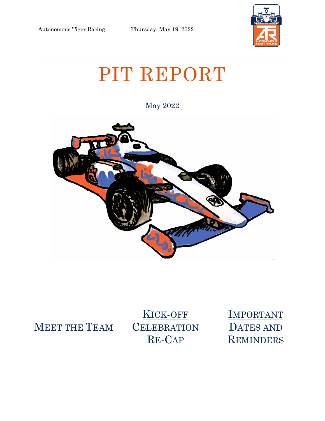

# PIT REPORT

May 2022



**[MEET THE TEAM](#page-1-0)** 

[KICK-OFF](#page-2-0)  **CELEBRATION** [RE-CAP](#page-2-0)

[IMPORTANT](#page-2-1)  [DATES AND](#page-2-1)  **[REMINDERS](#page-2-1)**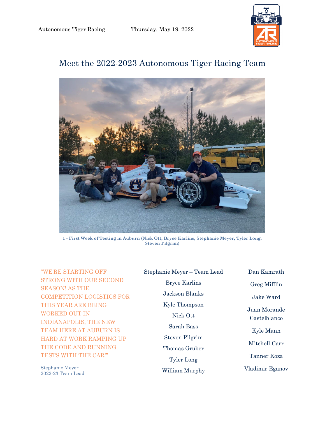

#### <span id="page-1-0"></span>Meet the 2022-2023 Autonomous Tiger Racing Team



**1 - First Week of Testing in Auburn (Nick Ott, Bryce Karlins, Stephanie Meyer, Tyler Long, Steven Pilgrim)**

"WE'RE STARTING OFF STRONG WITH OUR SECOND SEASON! AS THE COMPETITION LOGISTICS FOR THIS YEAR ARE BEING WORKED OUT IN INDIANAPOLIS, THE NEW TEAM HERE AT AUBURN IS HARD AT WORK RAMPING UP THE CODE AND RUNNING TESTS WITH THE CAR!"

Stephanie Meyer 2022-23 Team Lead Stephanie Meyer – Team Lead Bryce Karlins Jackson Blanks Kyle Thompson Nick Ott Sarah Bass Steven Pilgrim Thomas Gruber Tyler Long William Murphy

Dan Kamrath Greg Mifflin Jake Ward Juan Morande Castelblanco Kyle Mann Mitchell Carr Tanner Koza Vladimir Eganov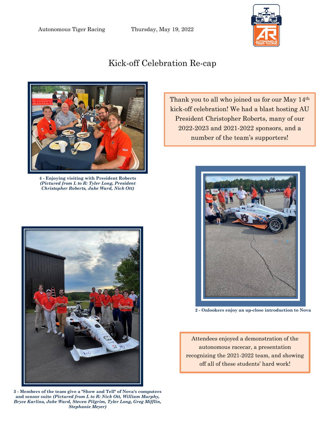

#### Kick-off Celebration Re-cap

<span id="page-2-0"></span>

**4 - Enjoying visiting with President Roberts**  *(Pictured from L to R: Tyler Long, President Christopher Roberts, Jake Ward, Nick Ott)*



**3 - Members of the team give a "Show and Tell" of Nova's computers and sensor suite** *(Pictured from L to R: Nick Ott, William Murphy, Bryce Karlins, Jake Ward, Steven Pilgrim, Tyler Long, Greg Mifflin, Stephanie Meyer)*

<span id="page-2-1"></span>Thank you to all who joined us for our May 14th kick-off celebration! We had a blast hosting AU President Christopher Roberts, many of our 2022-2023 and 2021-2022 sponsors, and a number of the team's supporters!



**2 - Onlookers enjoy an up-close introduction to Nova**

Attendees enjoyed a demonstration of the autonomous racecar, a presentation recognizing the 2021-2022 team, and showing off all of these students' hard work!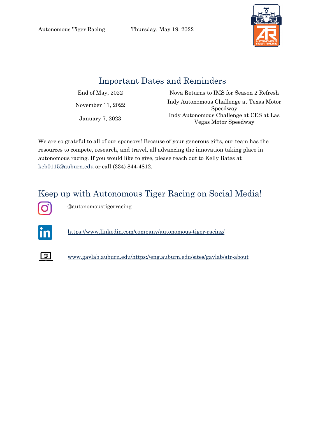

### Important Dates and Reminders

End of May, 2022 Nova Returns to IMS for Season 2 Refresh November 11, 2022 **Indy Autonomous Challenge at Texas Motor** Speedway January 7, 2023 Indy Autonomous Challenge at CES at Las Vegas Motor Speedway

We are so grateful to all of our sponsors! Because of your generous gifts, our team has the resources to compete, research, and travel, all advancing the innovation taking place in autonomous racing. If you would like to give, please reach out to Kelly Bates at [keb0115@auburn.edu](mailto:keb0115@auburn.edu) or call (334) 844-4812.

## Keep up with Autonomous Tiger Racing on Social Media!



@autonomoustigerracing



<https://www.linkedin.com/company/autonomous-tiger-racing/>



[www.gavlab.auburn.edu/https://eng.auburn.edu/sites/gavlab/atr-about](http://www.gavlab.auburn.edu/https:/eng.auburn.edu/sites/gavlab/atr-about)